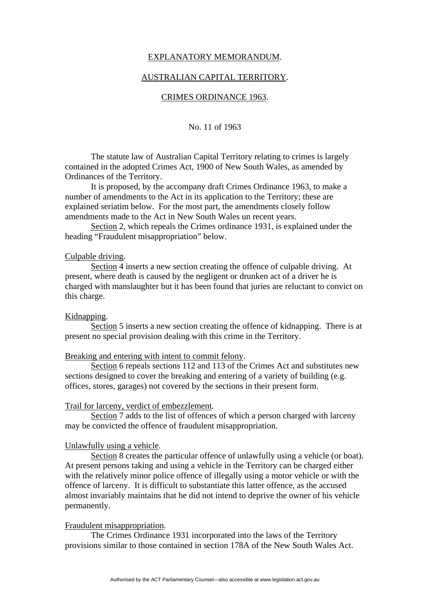# EXPLANATORY MEMORANDUM.

### AUSTRALIAN CAPITAL TERRITORY.

### CRIMES ORDINANCE 1963.

# No. 11 of 1963

 The statute law of Australian Capital Territory relating to crimes is largely contained in the adopted Crimes Act, 1900 of New South Wales, as amended by Ordinances of the Territory.

 It is proposed, by the accompany draft Crimes Ordinance 1963, to make a number of amendments to the Act in its application to the Territory; these are explained seriatim below. For the most part, the amendments closely follow amendments made to the Act in New South Wales un recent years.

 Section 2, which repeals the Crimes ordinance 1931, is explained under the heading "Fraudulent misappropriation" below.

### Culpable driving.

 Section 4 inserts a new section creating the offence of culpable driving. At present, where death is caused by the negligent or drunken act of a driver he is charged with manslaughter but it has been found that juries are reluctant to convict on this charge.

## Kidnapping.

 Section 5 inserts a new section creating the offence of kidnapping. There is at present no special provision dealing with this crime in the Territory.

#### Breaking and entering with intent to commit felony.

 Section 6 repeals sections 112 and 113 of the Crimes Act and substitutes new sections designed to cover the breaking and entering of a variety of building (e.g. offices, stores, garages) not covered by the sections in their present form.

### Trail for larceny, verdict of embezzlement.

 Section 7 adds to the list of offences of which a person charged with larceny may be convicted the offence of fraudulent misappropriation.

### Unlawfully using a vehicle.

 Section 8 creates the particular offence of unlawfully using a vehicle (or boat). At present persons taking and using a vehicle in the Territory can be charged either with the relatively minor police offence of illegally using a motor vehicle or with the offence of larceny. It is difficult to substantiate this latter offence, as the accused almost invariably maintains that he did not intend to deprive the owner of his vehicle permanently.

### Fraudulent misappropriation.

 The Crimes Ordinance 1931 incorporated into the laws of the Territory provisions similar to those contained in section 178A of the New South Wales Act.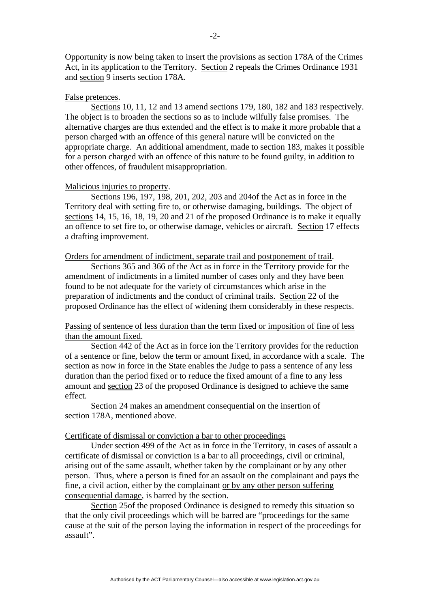Opportunity is now being taken to insert the provisions as section 178A of the Crimes Act, in its application to the Territory. Section 2 repeals the Crimes Ordinance 1931 and section 9 inserts section 178A.

#### False pretences.

 Sections 10, 11, 12 and 13 amend sections 179, 180, 182 and 183 respectively. The object is to broaden the sections so as to include wilfully false promises. The alternative charges are thus extended and the effect is to make it more probable that a person charged with an offence of this general nature will be convicted on the appropriate charge. An additional amendment, made to section 183, makes it possible for a person charged with an offence of this nature to be found guilty, in addition to other offences, of fraudulent misappropriation.

### Malicious injuries to property.

 Sections 196, 197, 198, 201, 202, 203 and 204of the Act as in force in the Territory deal with setting fire to, or otherwise damaging, buildings. The object of sections 14, 15, 16, 18, 19, 20 and 21 of the proposed Ordinance is to make it equally an offence to set fire to, or otherwise damage, vehicles or aircraft. Section 17 effects a drafting improvement.

# Orders for amendment of indictment, separate trail and postponement of trail.

 Sections 365 and 366 of the Act as in force in the Territory provide for the amendment of indictments in a limited number of cases only and they have been found to be not adequate for the variety of circumstances which arise in the preparation of indictments and the conduct of criminal trails. Section 22 of the proposed Ordinance has the effect of widening them considerably in these respects.

# Passing of sentence of less duration than the term fixed or imposition of fine of less than the amount fixed.

 Section 442 of the Act as in force ion the Territory provides for the reduction of a sentence or fine, below the term or amount fixed, in accordance with a scale. The section as now in force in the State enables the Judge to pass a sentence of any less duration than the period fixed or to reduce the fixed amount of a fine to any less amount and section 23 of the proposed Ordinance is designed to achieve the same effect.

 Section 24 makes an amendment consequential on the insertion of section 178A, mentioned above.

#### Certificate of dismissal or conviction a bar to other proceedings

 Under section 499 of the Act as in force in the Territory, in cases of assault a certificate of dismissal or conviction is a bar to all proceedings, civil or criminal, arising out of the same assault, whether taken by the complainant or by any other person. Thus, where a person is fined for an assault on the complainant and pays the fine, a civil action, either by the complainant or by any other person suffering consequential damage, is barred by the section.

 Section 25of the proposed Ordinance is designed to remedy this situation so that the only civil proceedings which will be barred are "proceedings for the same cause at the suit of the person laying the information in respect of the proceedings for assault".